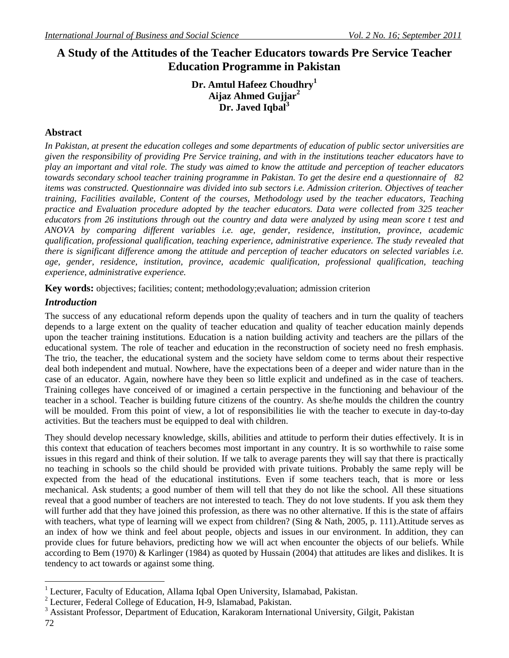# **A Study of the Attitudes of the Teacher Educators towards Pre Service Teacher Education Programme in Pakistan**

## **Dr. Amtul Hafeez Choudhry<sup>1</sup> Aijaz Ahmed Gujjar<sup>2</sup> Dr. Javed Iqbal<sup>3</sup>**

## **Abstract**

*In Pakistan, at present the education colleges and some departments of education of public sector universities are given the responsibility of providing Pre Service training, and with in the institutions teacher educators have to play an important and vital role. The study was aimed to know the attitude and perception of teacher educators towards secondary school teacher training programme in Pakistan. To get the desire end a questionnaire of 82 items was constructed. Questionnaire was divided into sub sectors i.e. Admission criterion. Objectives of teacher training, Facilities available, Content of the courses, Methodology used by the teacher educators, Teaching practice and Evaluation procedure adopted by the teacher educators. Data were collected from 325 teacher educators from 26 institutions through out the country and data were analyzed by using mean score t test and ANOVA by comparing different variables i.e. age, gender, residence, institution, province, academic qualification, professional qualification, teaching experience, administrative experience. The study revealed that there is significant difference among the attitude and perception of teacher educators on selected variables i.e. age, gender, residence, institution, province, academic qualification, professional qualification, teaching experience, administrative experience.* 

**Key words:** objectives; facilities; content; methodology;evaluation; admission criterion

## *Introduction*

The success of any educational reform depends upon the quality of teachers and in turn the quality of teachers depends to a large extent on the quality of teacher education and quality of teacher education mainly depends upon the teacher training institutions. Education is a nation building activity and teachers are the pillars of the educational system. The role of teacher and education in the reconstruction of society need no fresh emphasis. The trio, the teacher, the educational system and the society have seldom come to terms about their respective deal both independent and mutual. Nowhere, have the expectations been of a deeper and wider nature than in the case of an educator. Again, nowhere have they been so little explicit and undefined as in the case of teachers. Training colleges have conceived of or imagined a certain perspective in the functioning and behaviour of the teacher in a school. Teacher is building future citizens of the country. As she/he moulds the children the country will be moulded. From this point of view, a lot of responsibilities lie with the teacher to execute in day-to-day activities. But the teachers must be equipped to deal with children.

They should develop necessary knowledge, skills, abilities and attitude to perform their duties effectively. It is in this context that education of teachers becomes most important in any country. It is so worthwhile to raise some issues in this regard and think of their solution. If we talk to average parents they will say that there is practically no teaching in schools so the child should be provided with private tuitions. Probably the same reply will be expected from the head of the educational institutions. Even if some teachers teach, that is more or less mechanical. Ask students; a good number of them will tell that they do not like the school. All these situations reveal that a good number of teachers are not interested to teach. They do not love students. If you ask them they will further add that they have joined this profession, as there was no other alternative. If this is the state of affairs with teachers, what type of learning will we expect from children? (Sing & Nath, 2005, p. 111). Attitude serves as an index of how we think and feel about people, objects and issues in our environment. In addition, they can provide clues for future behaviors, predicting how we will act when encounter the objects of our beliefs. While according to Bem (1970) & Karlinger (1984) as quoted by Hussain (2004) that attitudes are likes and dislikes. It is tendency to act towards or against some thing.

 $\overline{a}$ 

<sup>&</sup>lt;sup>1</sup> Lecturer, Faculty of Education, Allama Iqbal Open University, Islamabad, Pakistan.

<sup>2</sup> Lecturer, Federal College of Education, H-9, Islamabad, Pakistan.

<sup>&</sup>lt;sup>3</sup> Assistant Professor, Department of Education, Karakoram International University, Gilgit, Pakistan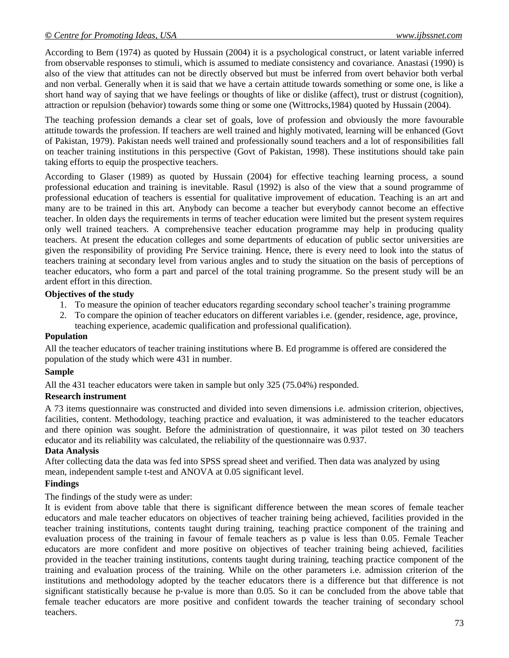According to Bem (1974) as quoted by Hussain (2004) it is a psychological construct, or latent variable inferred from observable responses to stimuli, which is assumed to mediate consistency and covariance. Anastasi (1990) is also of the view that attitudes can not be directly observed but must be inferred from overt behavior both verbal and non verbal. Generally when it is said that we have a certain attitude towards something or some one, is like a short hand way of saying that we have feelings or thoughts of like or dislike (affect), trust or distrust (cognition), attraction or repulsion (behavior) towards some thing or some one (Wittrocks,1984) quoted by Hussain (2004).

The teaching profession demands a clear set of goals, love of profession and obviously the more favourable attitude towards the profession. If teachers are well trained and highly motivated, learning will be enhanced (Govt of Pakistan, 1979). Pakistan needs well trained and professionally sound teachers and a lot of responsibilities fall on teacher training institutions in this perspective (Govt of Pakistan, 1998). These institutions should take pain taking efforts to equip the prospective teachers.

According to Glaser (1989) as quoted by Hussain (2004) for effective teaching learning process, a sound professional education and training is inevitable. Rasul (1992) is also of the view that a sound programme of professional education of teachers is essential for qualitative improvement of education. Teaching is an art and many are to be trained in this art. Anybody can become a teacher but everybody cannot become an effective teacher. In olden days the requirements in terms of teacher education were limited but the present system requires only well trained teachers. A comprehensive teacher education programme may help in producing quality teachers. At present the education colleges and some departments of education of public sector universities are given the responsibility of providing Pre Service training. Hence, there is every need to look into the status of teachers training at secondary level from various angles and to study the situation on the basis of perceptions of teacher educators, who form a part and parcel of the total training programme. So the present study will be an ardent effort in this direction.

### **Objectives of the study**

- 1. To measure the opinion of teacher educators regarding secondary school teacher's training programme
- 2. To compare the opinion of teacher educators on different variables i.e. (gender, residence, age, province, teaching experience, academic qualification and professional qualification).

## **Population**

All the teacher educators of teacher training institutions where B. Ed programme is offered are considered the population of the study which were 431 in number.

#### **Sample**

All the 431 teacher educators were taken in sample but only 325 (75.04%) responded.

#### **Research instrument**

A 73 items questionnaire was constructed and divided into seven dimensions i.e. admission criterion, objectives, facilities, content. Methodology, teaching practice and evaluation, it was administered to the teacher educators and there opinion was sought. Before the administration of questionnaire, it was pilot tested on 30 teachers educator and its reliability was calculated, the reliability of the questionnaire was 0.937.

#### **Data Analysis**

After collecting data the data was fed into SPSS spread sheet and verified. Then data was analyzed by using mean, independent sample t-test and ANOVA at 0.05 significant level.

## **Findings**

The findings of the study were as under:

It is evident from above table that there is significant difference between the mean scores of female teacher educators and male teacher educators on objectives of teacher training being achieved, facilities provided in the teacher training institutions, contents taught during training, teaching practice component of the training and evaluation process of the training in favour of female teachers as p value is less than 0.05. Female Teacher educators are more confident and more positive on objectives of teacher training being achieved, facilities provided in the teacher training institutions, contents taught during training, teaching practice component of the training and evaluation process of the training. While on the other parameters i.e. admission criterion of the institutions and methodology adopted by the teacher educators there is a difference but that difference is not significant statistically because he p-value is more than 0.05. So it can be concluded from the above table that female teacher educators are more positive and confident towards the teacher training of secondary school teachers.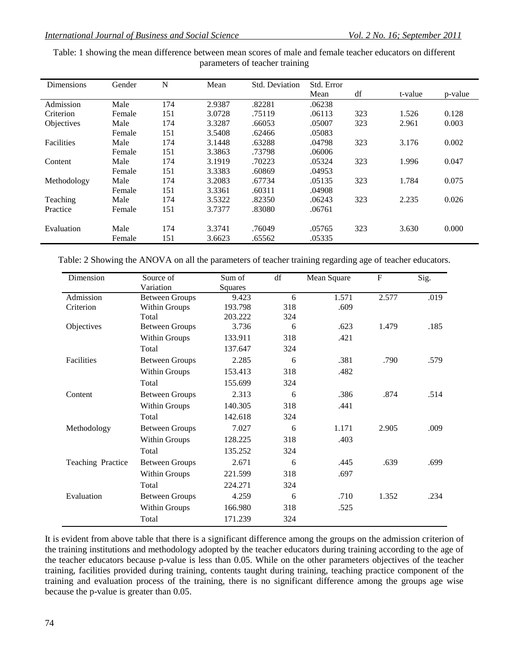| Table: 1 showing the mean difference between mean scores of male and female teacher educators on different |                                |  |  |  |
|------------------------------------------------------------------------------------------------------------|--------------------------------|--|--|--|
|                                                                                                            | parameters of teacher training |  |  |  |

| Dimensions  | Gender | N   | Mean   | Std. Deviation | Std. Error |     |         |         |
|-------------|--------|-----|--------|----------------|------------|-----|---------|---------|
|             |        |     |        |                | Mean       | df  | t-value | p-value |
| Admission   | Male   | 174 | 2.9387 | .82281         | .06238     |     |         |         |
| Criterion   | Female | 151 | 3.0728 | .75119         | .06113     | 323 | 1.526   | 0.128   |
| Objectives  | Male   | 174 | 3.3287 | .66053         | .05007     | 323 | 2.961   | 0.003   |
|             | Female | 151 | 3.5408 | .62466         | .05083     |     |         |         |
| Facilities  | Male   | 174 | 3.1448 | .63288         | .04798     | 323 | 3.176   | 0.002   |
|             | Female | 151 | 3.3863 | .73798         | .06006     |     |         |         |
| Content     | Male   | 174 | 3.1919 | .70223         | .05324     | 323 | 1.996   | 0.047   |
|             | Female | 151 | 3.3383 | .60869         | .04953     |     |         |         |
| Methodology | Male   | 174 | 3.2083 | .67734         | .05135     | 323 | 1.784   | 0.075   |
|             | Female | 151 | 3.3361 | .60311         | .04908     |     |         |         |
| Teaching    | Male   | 174 | 3.5322 | .82350         | .06243     | 323 | 2.235   | 0.026   |
| Practice    | Female | 151 | 3.7377 | .83080         | .06761     |     |         |         |
|             |        |     |        |                |            |     |         |         |
| Evaluation  | Male   | 174 | 3.3741 | .76049         | .05765     | 323 | 3.630   | 0.000   |
|             | Female | 151 | 3.6623 | .65562         | .05335     |     |         |         |

| Table: 2 Showing the ANOVA on all the parameters of teacher training regarding age of teacher educators. |  |
|----------------------------------------------------------------------------------------------------------|--|
|                                                                                                          |  |

| Dimension         | Source of             | Sum of  | df  | Mean Square | $\mathbf F$ | Sig. |
|-------------------|-----------------------|---------|-----|-------------|-------------|------|
|                   | Variation             | Squares |     |             |             |      |
| Admission         | <b>Between Groups</b> | 9.423   | 6   | 1.571       | 2.577       | .019 |
| Criterion         | Within Groups         | 193.798 | 318 | .609        |             |      |
|                   | Total                 | 203.222 | 324 |             |             |      |
| Objectives        | <b>Between Groups</b> | 3.736   | 6   | .623        | 1.479       | .185 |
|                   | Within Groups         | 133.911 | 318 | .421        |             |      |
|                   | Total                 | 137.647 | 324 |             |             |      |
| Facilities        | <b>Between Groups</b> | 2.285   | 6   | .381        | .790        | .579 |
|                   | Within Groups         | 153.413 | 318 | .482        |             |      |
|                   | Total                 | 155.699 | 324 |             |             |      |
| Content           | <b>Between Groups</b> | 2.313   | 6   | .386        | .874        | .514 |
|                   | Within Groups         | 140.305 | 318 | .441        |             |      |
|                   | Total                 | 142.618 | 324 |             |             |      |
| Methodology       | <b>Between Groups</b> | 7.027   | 6   | 1.171       | 2.905       | .009 |
|                   | Within Groups         | 128.225 | 318 | .403        |             |      |
|                   | Total                 | 135.252 | 324 |             |             |      |
| Teaching Practice | <b>Between Groups</b> | 2.671   | 6   | .445        | .639        | .699 |
|                   | Within Groups         | 221.599 | 318 | .697        |             |      |
|                   | Total                 | 224.271 | 324 |             |             |      |
| Evaluation        | <b>Between Groups</b> | 4.259   | 6   | .710        | 1.352       | .234 |
|                   | Within Groups         | 166.980 | 318 | .525        |             |      |
|                   | Total                 | 171.239 | 324 |             |             |      |

It is evident from above table that there is a significant difference among the groups on the admission criterion of the training institutions and methodology adopted by the teacher educators during training according to the age of the teacher educators because p-value is less than 0.05. While on the other parameters objectives of the teacher training, facilities provided during training, contents taught during training, teaching practice component of the training and evaluation process of the training, there is no significant difference among the groups age wise because the p-value is greater than 0.05.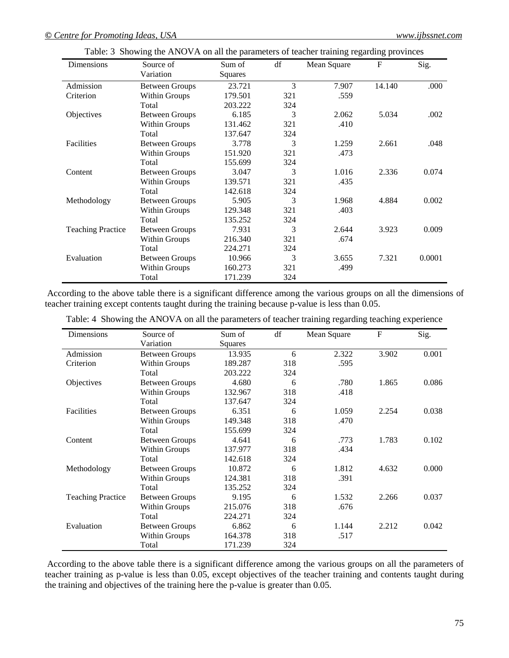| Dimensions               | Source of             | Sum of  | df            | Mean Square | ${\rm F}$ | Sig.   |
|--------------------------|-----------------------|---------|---------------|-------------|-----------|--------|
|                          | Variation             | Squares |               |             |           |        |
| Admission                | <b>Between Groups</b> | 23.721  | 3             | 7.907       | 14.140    | .000   |
| Criterion                | Within Groups         | 179.501 | 321           | .559        |           |        |
|                          | Total                 | 203.222 | 324           |             |           |        |
| Objectives               | <b>Between Groups</b> | 6.185   | 3             | 2.062       | 5.034     | .002   |
|                          | Within Groups         | 131.462 | 321           | .410        |           |        |
|                          | Total                 | 137.647 | 324           |             |           |        |
| Facilities               | <b>Between Groups</b> | 3.778   | 3             | 1.259       | 2.661     | .048   |
|                          | <b>Within Groups</b>  | 151.920 | 321           | .473        |           |        |
|                          | Total                 | 155.699 | 324           |             |           |        |
| Content                  | <b>Between Groups</b> | 3.047   | 3             | 1.016       | 2.336     | 0.074  |
|                          | Within Groups         | 139.571 | 321           | .435        |           |        |
|                          | Total                 | 142.618 | 324           |             |           |        |
| Methodology              | <b>Between Groups</b> | 5.905   | 3             | 1.968       | 4.884     | 0.002  |
|                          | Within Groups         | 129.348 | 321           | .403        |           |        |
|                          | Total                 | 135.252 | 324           |             |           |        |
| <b>Teaching Practice</b> | <b>Between Groups</b> | 7.931   | $\mathcal{F}$ | 2.644       | 3.923     | 0.009  |
|                          | <b>Within Groups</b>  | 216.340 | 321           | .674        |           |        |
|                          | Total                 | 224.271 | 324           |             |           |        |
| Evaluation               | <b>Between Groups</b> | 10.966  | 3             | 3.655       | 7.321     | 0.0001 |
|                          | <b>Within Groups</b>  | 160.273 | 321           | .499        |           |        |
|                          | Total                 | 171.239 | 324           |             |           |        |

Table: 3 Showing the ANOVA on all the parameters of teacher training regarding provinces

According to the above table there is a significant difference among the various groups on all the dimensions of teacher training except contents taught during the training because p-value is less than 0.05.

| <b>Dimensions</b>        | Source of             | Sum of         | df  | Mean Square | $\mathbf F$ | Sig.  |
|--------------------------|-----------------------|----------------|-----|-------------|-------------|-------|
|                          | Variation             | <b>Squares</b> |     |             |             |       |
| Admission                | <b>Between Groups</b> | 13.935         | 6   | 2.322       | 3.902       | 0.001 |
| Criterion                | Within Groups         | 189.287        | 318 | .595        |             |       |
|                          | Total                 | 203.222        | 324 |             |             |       |
| Objectives               | <b>Between Groups</b> | 4.680          | 6   | .780        | 1.865       | 0.086 |
|                          | Within Groups         | 132.967        | 318 | .418        |             |       |
|                          | Total                 | 137.647        | 324 |             |             |       |
| <b>Facilities</b>        | <b>Between Groups</b> | 6.351          | 6   | 1.059       | 2.254       | 0.038 |
|                          | Within Groups         | 149.348        | 318 | .470        |             |       |
|                          | Total                 | 155.699        | 324 |             |             |       |
| Content                  | <b>Between Groups</b> | 4.641          | 6   | .773        | 1.783       | 0.102 |
|                          | Within Groups         | 137.977        | 318 | .434        |             |       |
|                          | Total                 | 142.618        | 324 |             |             |       |
| Methodology              | <b>Between Groups</b> | 10.872         | 6   | 1.812       | 4.632       | 0.000 |
|                          | Within Groups         | 124.381        | 318 | .391        |             |       |
|                          | Total                 | 135.252        | 324 |             |             |       |
| <b>Teaching Practice</b> | <b>Between Groups</b> | 9.195          | 6   | 1.532       | 2.266       | 0.037 |
|                          | Within Groups         | 215.076        | 318 | .676        |             |       |
|                          | Total                 | 224.271        | 324 |             |             |       |
| Evaluation               | <b>Between Groups</b> | 6.862          | 6   | 1.144       | 2.212       | 0.042 |
|                          | Within Groups         | 164.378        | 318 | .517        |             |       |
|                          | Total                 | 171.239        | 324 |             |             |       |

Table: 4 Showing the ANOVA on all the parameters of teacher training regarding teaching experience

According to the above table there is a significant difference among the various groups on all the parameters of teacher training as p-value is less than 0.05, except objectives of the teacher training and contents taught during the training and objectives of the training here the p-value is greater than 0.05.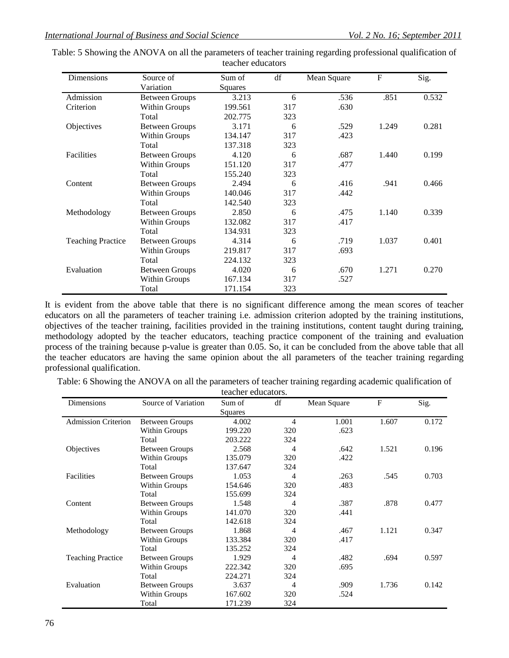| <b>Dimensions</b>        | Source of             | Sum of  | df  | Mean Square | $\mathbf{F}$ | Sig.  |
|--------------------------|-----------------------|---------|-----|-------------|--------------|-------|
|                          | Variation             | Squares |     |             |              |       |
| Admission                | <b>Between Groups</b> | 3.213   | 6   | .536        | .851         | 0.532 |
| Criterion                | Within Groups         | 199.561 | 317 | .630        |              |       |
|                          | Total                 | 202.775 | 323 |             |              |       |
| Objectives               | <b>Between Groups</b> | 3.171   | 6   | .529        | 1.249        | 0.281 |
|                          | Within Groups         | 134.147 | 317 | .423        |              |       |
|                          | Total                 | 137.318 | 323 |             |              |       |
| Facilities               | <b>Between Groups</b> | 4.120   | 6   | .687        | 1.440        | 0.199 |
|                          | Within Groups         | 151.120 | 317 | .477        |              |       |
|                          | Total                 | 155.240 | 323 |             |              |       |
| Content                  | <b>Between Groups</b> | 2.494   | 6   | .416        | .941         | 0.466 |
|                          | Within Groups         | 140.046 | 317 | .442        |              |       |
|                          | Total                 | 142.540 | 323 |             |              |       |
| Methodology              | <b>Between Groups</b> | 2.850   | 6   | .475        | 1.140        | 0.339 |
|                          | Within Groups         | 132.082 | 317 | .417        |              |       |
|                          | Total                 | 134.931 | 323 |             |              |       |
| <b>Teaching Practice</b> | <b>Between Groups</b> | 4.314   | 6   | .719        | 1.037        | 0.401 |
|                          | <b>Within Groups</b>  | 219.817 | 317 | .693        |              |       |
|                          | Total                 | 224.132 | 323 |             |              |       |
| Evaluation               | <b>Between Groups</b> | 4.020   | 6   | .670        | 1.271        | 0.270 |
|                          | <b>Within Groups</b>  | 167.134 | 317 | .527        |              |       |
|                          | Total                 | 171.154 | 323 |             |              |       |

Table: 5 Showing the ANOVA on all the parameters of teacher training regarding professional qualification of teacher educators

It is evident from the above table that there is no significant difference among the mean scores of teacher educators on all the parameters of teacher training i.e. admission criterion adopted by the training institutions, objectives of the teacher training, facilities provided in the training institutions, content taught during training, methodology adopted by the teacher educators, teaching practice component of the training and evaluation process of the training because p-value is greater than 0.05. So, it can be concluded from the above table that all the teacher educators are having the same opinion about the all parameters of the teacher training regarding professional qualification.

| Table: 6 Showing the ANOVA on all the parameters of teacher training regarding academic qualification of |                   |  |  |
|----------------------------------------------------------------------------------------------------------|-------------------|--|--|
|                                                                                                          | tooghar adugatara |  |  |

|                            |                       | teacher equicators. |     |             |       |       |
|----------------------------|-----------------------|---------------------|-----|-------------|-------|-------|
| <b>Dimensions</b>          | Source of Variation   | Sum of              | df  | Mean Square | F     | Sig.  |
|                            |                       | Squares             |     |             |       |       |
| <b>Admission Criterion</b> | <b>Between Groups</b> | 4.002               | 4   | 1.001       | 1.607 | 0.172 |
|                            | Within Groups         | 199.220             | 320 | .623        |       |       |
|                            | Total                 | 203.222             | 324 |             |       |       |
| Objectives                 | <b>Between Groups</b> | 2.568               | 4   | .642        | 1.521 | 0.196 |
|                            | Within Groups         | 135.079             | 320 | .422        |       |       |
|                            | Total                 | 137.647             | 324 |             |       |       |
| Facilities                 | <b>Between Groups</b> | 1.053               | 4   | .263        | .545  | 0.703 |
|                            | Within Groups         | 154.646             | 320 | .483        |       |       |
|                            | Total                 | 155.699             | 324 |             |       |       |
| Content                    | <b>Between Groups</b> | 1.548               | 4   | .387        | .878  | 0.477 |
|                            | Within Groups         | 141.070             | 320 | .441        |       |       |
|                            | Total                 | 142.618             | 324 |             |       |       |
| Methodology                | <b>Between Groups</b> | 1.868               | 4   | .467        | 1.121 | 0.347 |
|                            | Within Groups         | 133.384             | 320 | .417        |       |       |
|                            | Total                 | 135.252             | 324 |             |       |       |
| <b>Teaching Practice</b>   | <b>Between Groups</b> | 1.929               | 4   | .482        | .694  | 0.597 |
|                            | Within Groups         | 222.342             | 320 | .695        |       |       |
|                            | Total                 | 224.271             | 324 |             |       |       |
| Evaluation                 | <b>Between Groups</b> | 3.637               | 4   | .909        | 1.736 | 0.142 |
|                            | Within Groups         | 167.602             | 320 | .524        |       |       |
|                            | Total                 | 171.239             | 324 |             |       |       |